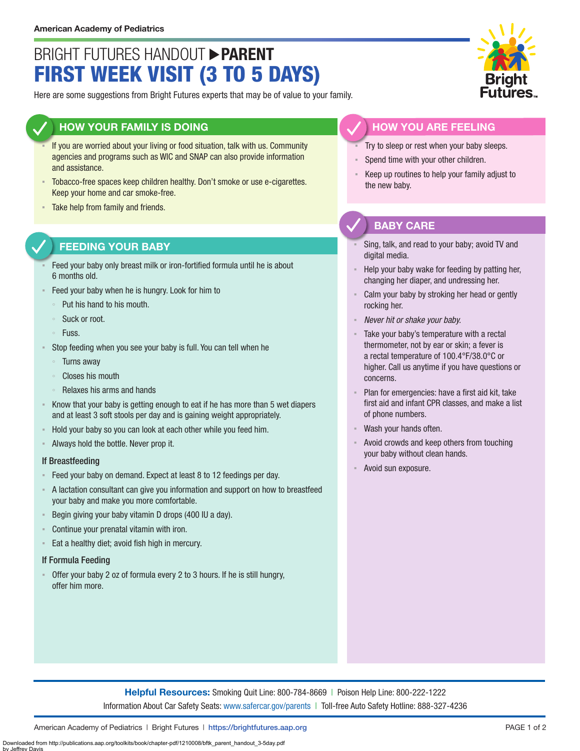# BRIGHT FUTURES HANDOUT **PARENT** FIRST WEEK VISIT (3 TO 5 DAYS)

Here are some suggestions from Bright Futures experts that may be of value to your family.

### **HOW YOUR FAMILY IS DOING**

- If you are worried about your living or food situation, talk with us. Community agencies and programs such as WIC and SNAP can also provide information and assistance.
- Tobacco-free spaces keep children healthy. Don't smoke or use e-cigarettes. Keep your home and car smoke-free.
- Take help from family and friends.

## **FEEDING YOUR BABY**

- Feed your baby only breast milk or iron-fortified formula until he is about 6 months old.
- Feed your baby when he is hungry. Look for him to
	- Put his hand to his mouth.
	- Suck or root.
	- Fuss.
- Stop feeding when you see your baby is full. You can tell when he
	- Turns away
	- Closes his mouth
- Relaxes his arms and hands
- Know that your baby is getting enough to eat if he has more than 5 wet diapers and at least 3 soft stools per day and is gaining weight appropriately.
- Hold your baby so you can look at each other while you feed him.
- Always hold the bottle. Never prop it.

#### If Breastfeeding

- Feed your baby on demand. Expect at least 8 to 12 feedings per day.
- A lactation consultant can give you information and support on how to breastfeed your baby and make you more comfortable.
- Begin giving your baby vitamin D drops (400 IU a day).
- Continue your prenatal vitamin with iron.
- Eat a healthy diet; avoid fish high in mercury.

#### If Formula Feeding

▪ Offer your baby 2 oz of formula every 2 to 3 hours. If he is still hungry, offer him more.



## **HOW YOU ARE FEELING**

- Try to sleep or rest when your baby sleeps.
- Spend time with your other children.
- Keep up routines to help your family adjust to the new baby.

## **BABY CARE**

- Sing, talk, and read to your baby; avoid TV and digital media.
- Help your baby wake for feeding by patting her, changing her diaper, and undressing her.
- Calm your baby by stroking her head or gently rocking her.
- *Never hit or shake your baby.*
- Take your baby's temperature with a rectal thermometer, not by ear or skin; a fever is a rectal temperature of 100.4°F/38.0°C or higher. Call us anytime if you have questions or concerns.
- Plan for emergencies: have a first aid kit, take first aid and infant CPR classes, and make a list of phone numbers.
- Wash your hands often.
- Avoid crowds and keep others from touching your baby without clean hands.
- Avoid sun exposure.

**Helpful Resources:** Smoking Quit Line: 800-784-8669 | Poison Help Line: 800-222-1222 Information About Car Safety Seats: [www.safercar.gov/parents](https://www.nhtsa.gov/parents-and-caregivers) | Toll-free Auto Safety Hotline: 888-327-4236

American Academy of Pediatrics | Bright Futures | https:/[/brightfutures.aap.org](https://brightfutures.aap.org/Pages/default.aspx) PAGE 1 of 2